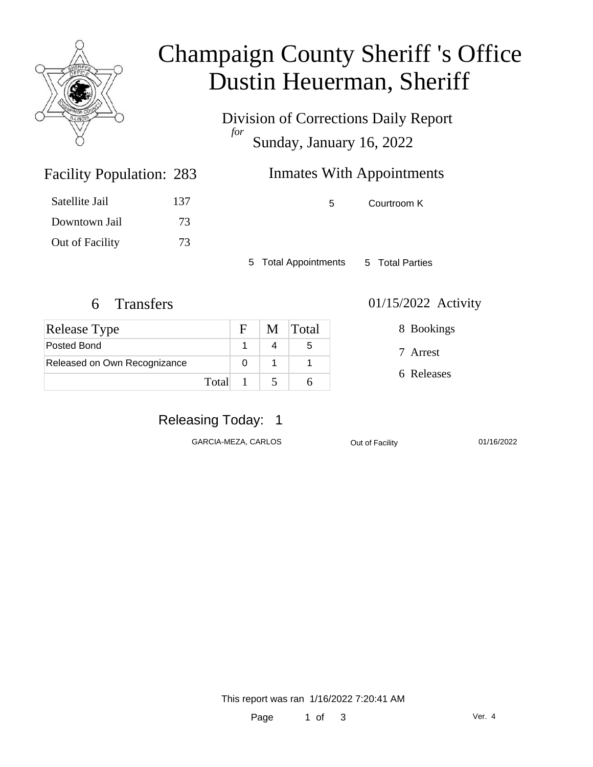

### Champaign County Sheriff 's Office Dustin Heuerman, Sheriff

Division of Corrections Daily Report *for* Sunday, January 16, 2022

### Inmates With Appointments

5 Courtroom K

5 Total Appointments 5 Total Parties

Facility Population: 283

Satellite Jail 137

Downtown Jail 73

Out of Facility 73

| <b>Release Type</b>          |       | $F_{\perp}$ | M Total |
|------------------------------|-------|-------------|---------|
| Posted Bond                  |       |             |         |
| Released on Own Recognizance |       |             |         |
|                              | Total |             |         |

#### 6 Transfers 01/15/2022 Activity

8 Bookings

7 Arrest

6 Releases

#### Releasing Today: 1

GARCIA-MEZA, CARLOS **Out of Facility** 01/16/2022

This report was ran 1/16/2022 7:20:41 AM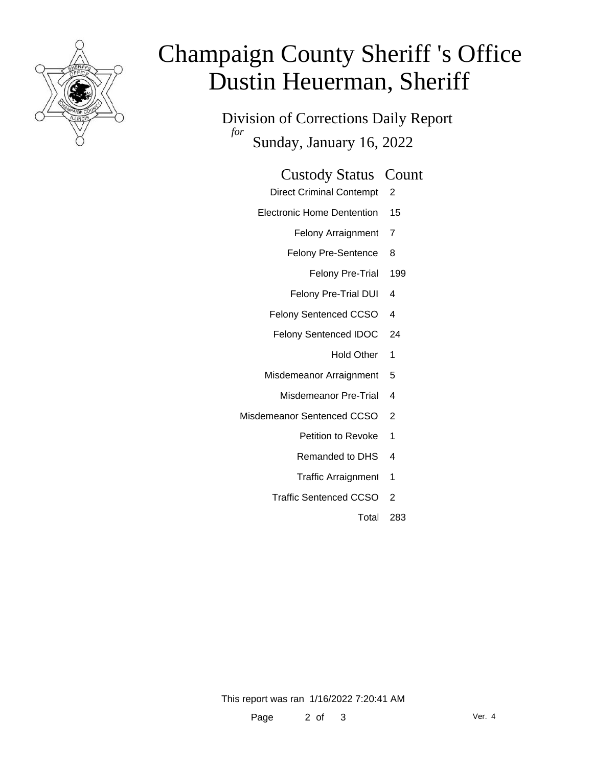

# Champaign County Sheriff 's Office Dustin Heuerman, Sheriff

Division of Corrections Daily Report *for* Sunday, January 16, 2022

| <b>Custody Status Count</b> |  |
|-----------------------------|--|
|-----------------------------|--|

- Direct Criminal Contempt 2
- Electronic Home Dentention 15
	- Felony Arraignment 7
	- Felony Pre-Sentence 8
		- Felony Pre-Trial 199
	- Felony Pre-Trial DUI 4
	- Felony Sentenced CCSO 4
	- Felony Sentenced IDOC 24
		- Hold Other 1
	- Misdemeanor Arraignment 5
		- Misdemeanor Pre-Trial 4
- Misdemeanor Sentenced CCSO 2
	- Petition to Revoke 1
	- Remanded to DHS 4
	- Traffic Arraignment 1
	- Traffic Sentenced CCSO 2
		- Total 283

This report was ran 1/16/2022 7:20:41 AM